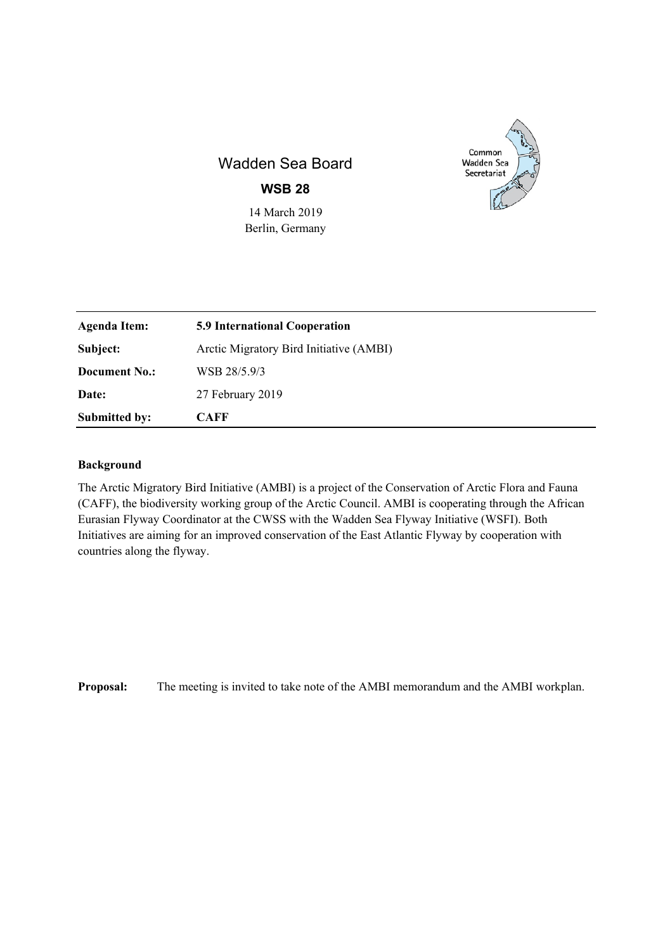

# Wadden Sea Board

**WSB 28** 

14 March 2019 Berlin, Germany

| <b>Agenda Item:</b>  | <b>5.9 International Cooperation</b>    |
|----------------------|-----------------------------------------|
| Subject:             | Arctic Migratory Bird Initiative (AMBI) |
| <b>Document No.:</b> | WSB 28/5.9/3                            |
| Date:                | 27 February 2019                        |
| <b>Submitted by:</b> | <b>CAFF</b>                             |

# **Background**

The Arctic Migratory Bird Initiative (AMBI) is a project of the Conservation of Arctic Flora and Fauna (CAFF), the biodiversity working group of the Arctic Council. AMBI is cooperating through the African Eurasian Flyway Coordinator at the CWSS with the Wadden Sea Flyway Initiative (WSFI). Both Initiatives are aiming for an improved conservation of the East Atlantic Flyway by cooperation with countries along the flyway.

**Proposal:** The meeting is invited to take note of the AMBI memorandum and the AMBI workplan.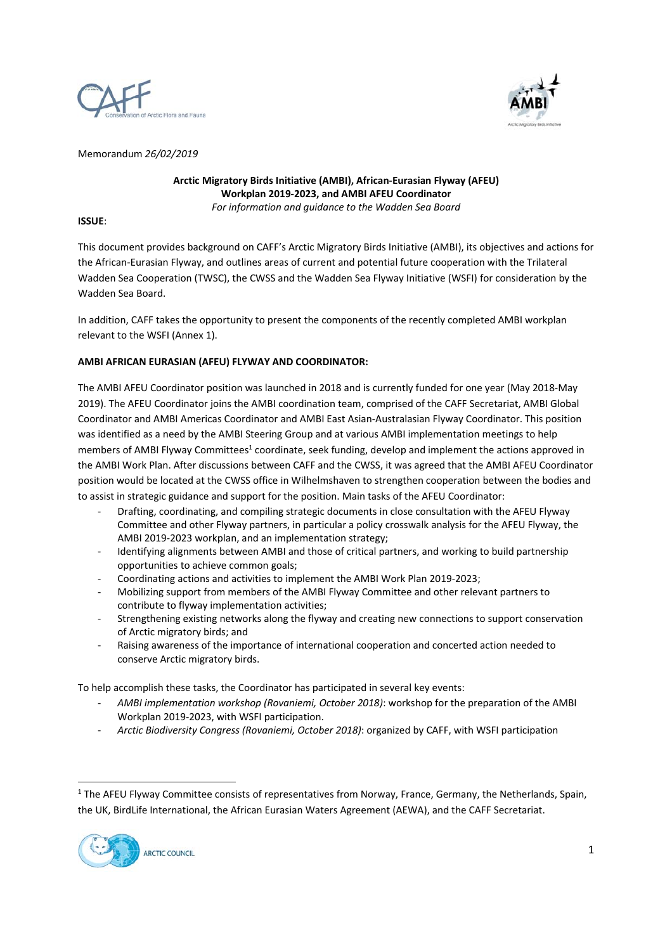



Memorandum *26/02/2019* 

**Arctic Migratory Birds Initiative (AMBI), African‐Eurasian Flyway (AFEU) Workplan 2019‐2023, and AMBI AFEU Coordinator**  *For information and guidance to the Wadden Sea Board* 

# **ISSUE**:

This document provides background on CAFF's Arctic Migratory Birds Initiative (AMBI), its objectives and actions for the African‐Eurasian Flyway, and outlines areas of current and potential future cooperation with the Trilateral Wadden Sea Cooperation (TWSC), the CWSS and the Wadden Sea Flyway Initiative (WSFI) for consideration by the Wadden Sea Board.

In addition, CAFF takes the opportunity to present the components of the recently completed AMBI workplan relevant to the WSFI (Annex 1).

# **AMBI AFRICAN EURASIAN (AFEU) FLYWAY AND COORDINATOR:**

The AMBI AFEU Coordinator position was launched in 2018 and is currently funded for one year (May 2018‐May 2019). The AFEU Coordinator joins the AMBI coordination team, comprised of the CAFF Secretariat, AMBI Global Coordinator and AMBI Americas Coordinator and AMBI East Asian‐Australasian Flyway Coordinator. This position was identified as a need by the AMBI Steering Group and at various AMBI implementation meetings to help members of AMBI Flyway Committees<sup>1</sup> coordinate, seek funding, develop and implement the actions approved in the AMBI Work Plan. After discussions between CAFF and the CWSS, it was agreed that the AMBI AFEU Coordinator position would be located at the CWSS office in Wilhelmshaven to strengthen cooperation between the bodies and to assist in strategic guidance and support for the position. Main tasks of the AFEU Coordinator:

- ‐ Drafting, coordinating, and compiling strategic documents in close consultation with the AFEU Flyway Committee and other Flyway partners, in particular a policy crosswalk analysis for the AFEU Flyway, the AMBI 2019‐2023 workplan, and an implementation strategy;
- Identifying alignments between AMBI and those of critical partners, and working to build partnership opportunities to achieve common goals;
- ‐ Coordinating actions and activities to implement the AMBI Work Plan 2019‐2023;
- ‐ Mobilizing support from members of the AMBI Flyway Committee and other relevant partners to contribute to flyway implementation activities;
- ‐ Strengthening existing networks along the flyway and creating new connections to support conservation of Arctic migratory birds; and
- ‐ Raising awareness of the importance of international cooperation and concerted action needed to conserve Arctic migratory birds.

To help accomplish these tasks, the Coordinator has participated in several key events:

- ‐ *AMBI implementation workshop (Rovaniemi, October 2018)*: workshop for the preparation of the AMBI Workplan 2019‐2023, with WSFI participation.
- ‐ *Arctic Biodiversity Congress (Rovaniemi, October 2018)*: organized by CAFF, with WSFI participation

<sup>&</sup>lt;sup>1</sup> The AFEU Flyway Committee consists of representatives from Norway, France, Germany, the Netherlands, Spain, the UK, BirdLife International, the African Eurasian Waters Agreement (AEWA), and the CAFF Secretariat.

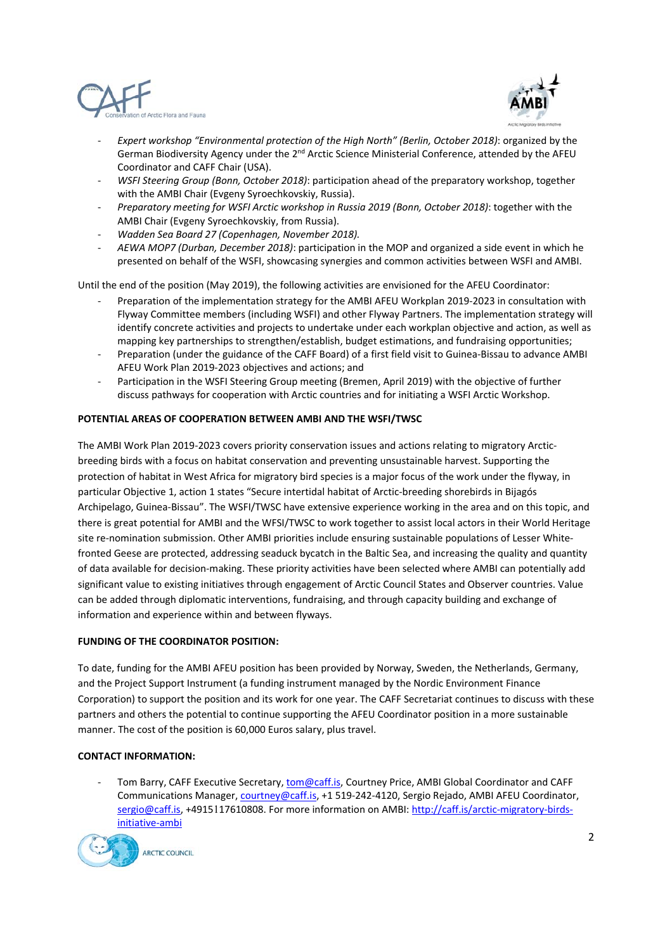



- ‐ *Expert workshop "Environmental protection of the High North" (Berlin, October 2018)*: organized by the German Biodiversity Agency under the  $2<sup>nd</sup>$  Arctic Science Ministerial Conference, attended by the AFEU Coordinator and CAFF Chair (USA).
- ‐ *WSFI Steering Group (Bonn, October 2018)*: participation ahead of the preparatory workshop, together with the AMBI Chair (Evgeny Syroechkovskiy, Russia).
- ‐ *Preparatory meeting for WSFI Arctic workshop in Russia 2019 (Bonn, October 2018)*: together with the AMBI Chair (Evgeny Syroechkovskiy, from Russia).
- ‐ *Wadden Sea Board 27 (Copenhagen, November 2018).*
- ‐ *AEWA MOP7 (Durban, December 2018)*: participation in the MOP and organized a side event in which he presented on behalf of the WSFI, showcasing synergies and common activities between WSFI and AMBI.

Until the end of the position (May 2019), the following activities are envisioned for the AFEU Coordinator:

- ‐ Preparation of the implementation strategy for the AMBI AFEU Workplan 2019‐2023 in consultation with Flyway Committee members (including WSFI) and other Flyway Partners. The implementation strategy will identify concrete activities and projects to undertake under each workplan objective and action, as well as mapping key partnerships to strengthen/establish, budget estimations, and fundraising opportunities;
- ‐ Preparation (under the guidance of the CAFF Board) of a first field visit to Guinea‐Bissau to advance AMBI AFEU Work Plan 2019‐2023 objectives and actions; and
- Participation in the WSFI Steering Group meeting (Bremen, April 2019) with the objective of further discuss pathways for cooperation with Arctic countries and for initiating a WSFI Arctic Workshop.

#### **POTENTIAL AREAS OF COOPERATION BETWEEN AMBI AND THE WSFI/TWSC**

The AMBI Work Plan 2019-2023 covers priority conservation issues and actions relating to migratory Arcticbreeding birds with a focus on habitat conservation and preventing unsustainable harvest. Supporting the protection of habitat in West Africa for migratory bird species is a major focus of the work under the flyway, in particular Objective 1, action 1 states "Secure intertidal habitat of Arctic‐breeding shorebirds in Bijagós Archipelago, Guinea‐Bissau". The WSFI/TWSC have extensive experience working in the area and on this topic, and there is great potential for AMBI and the WFSI/TWSC to work together to assist local actors in their World Heritage site re-nomination submission. Other AMBI priorities include ensuring sustainable populations of Lesser Whitefronted Geese are protected, addressing seaduck bycatch in the Baltic Sea, and increasing the quality and quantity of data available for decision‐making. These priority activities have been selected where AMBI can potentially add significant value to existing initiatives through engagement of Arctic Council States and Observer countries. Value can be added through diplomatic interventions, fundraising, and through capacity building and exchange of information and experience within and between flyways.

#### **FUNDING OF THE COORDINATOR POSITION:**

To date, funding for the AMBI AFEU position has been provided by Norway, Sweden, the Netherlands, Germany, and the Project Support Instrument (a funding instrument managed by the Nordic Environment Finance Corporation) to support the position and its work for one year. The CAFF Secretariat continues to discuss with these partners and others the potential to continue supporting the AFEU Coordinator position in a more sustainable manner. The cost of the position is 60,000 Euros salary, plus travel.

# **CONTACT INFORMATION:**

Tom Barry, CAFF Executive Secretary, tom@caff.is, Courtney Price, AMBI Global Coordinator and CAFF Communications Manager, courtney@caff.is, +1 519‐242‐4120, Sergio Rejado, AMBI AFEU Coordinator, sergio@caff.is, +4915117610808. For more information on AMBI: http://caff.is/arctic-migratory-birdsinitiative‐ambi

ARCTIC COUNCIL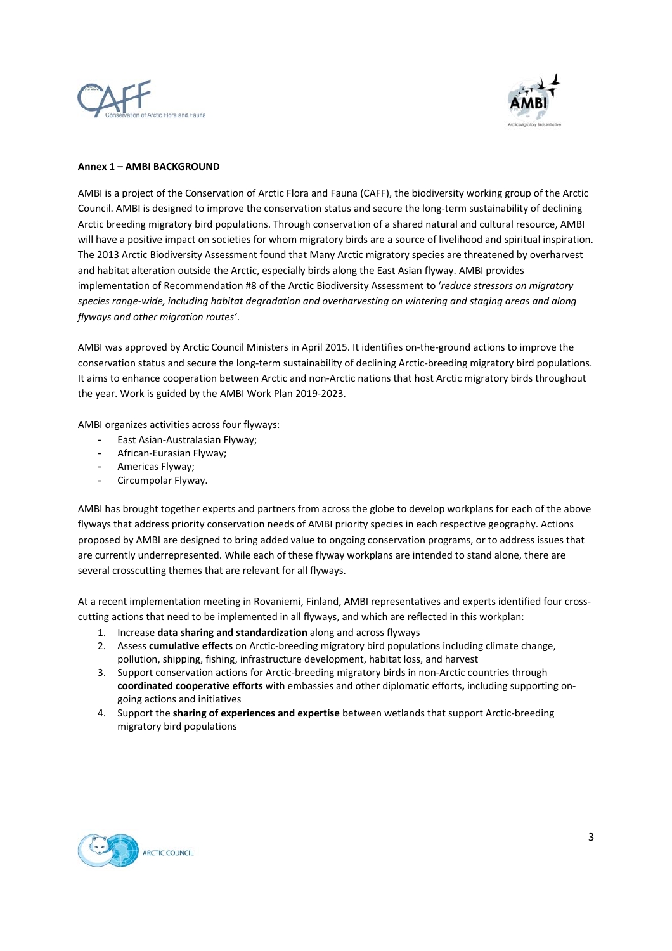



# **Annex 1 – AMBI BACKGROUND**

AMBI is a project of the Conservation of Arctic Flora and Fauna (CAFF), the biodiversity working group of the Arctic Council. AMBI is designed to improve the conservation status and secure the long‐term sustainability of declining Arctic breeding migratory bird populations. Through conservation of a shared natural and cultural resource, AMBI will have a positive impact on societies for whom migratory birds are a source of livelihood and spiritual inspiration. The 2013 Arctic Biodiversity Assessment found that Many Arctic migratory species are threatened by overharvest and habitat alteration outside the Arctic, especially birds along the East Asian flyway. AMBI provides implementation of Recommendation #8 of the Arctic Biodiversity Assessment to '*reduce stressors on migratory species range‐wide, including habitat degradation and overharvesting on wintering and staging areas and along flyways and other migration routes'*.

AMBI was approved by Arctic Council Ministers in April 2015. It identifies on-the-ground actions to improve the conservation status and secure the long-term sustainability of declining Arctic-breeding migratory bird populations. It aims to enhance cooperation between Arctic and non‐Arctic nations that host Arctic migratory birds throughout the year. Work is guided by the AMBI Work Plan 2019‐2023.

AMBI organizes activities across four flyways:

- East Asian‐Australasian Flyway;
- African‐Eurasian Flyway;
- Americas Flyway:
- Circumpolar Flyway.

AMBI has brought together experts and partners from across the globe to develop workplans for each of the above flyways that address priority conservation needs of AMBI priority species in each respective geography. Actions proposed by AMBI are designed to bring added value to ongoing conservation programs, or to address issues that are currently underrepresented. While each of these flyway workplans are intended to stand alone, there are several crosscutting themes that are relevant for all flyways.

At a recent implementation meeting in Rovaniemi, Finland, AMBI representatives and experts identified four crosscutting actions that need to be implemented in all flyways, and which are reflected in this workplan:

- 1. Increase **data sharing and standardization** along and across flyways
- 2. Assess **cumulative effects** on Arctic-breeding migratory bird populations including climate change, pollution, shipping, fishing, infrastructure development, habitat loss, and harvest
- 3. Support conservation actions for Arctic-breeding migratory birds in non-Arctic countries through **coordinated cooperative efforts** with embassies and other diplomatic efforts**,** including supporting on‐ going actions and initiatives
- 4. Support the **sharing of experiences and expertise** between wetlands that support Arctic‐breeding migratory bird populations